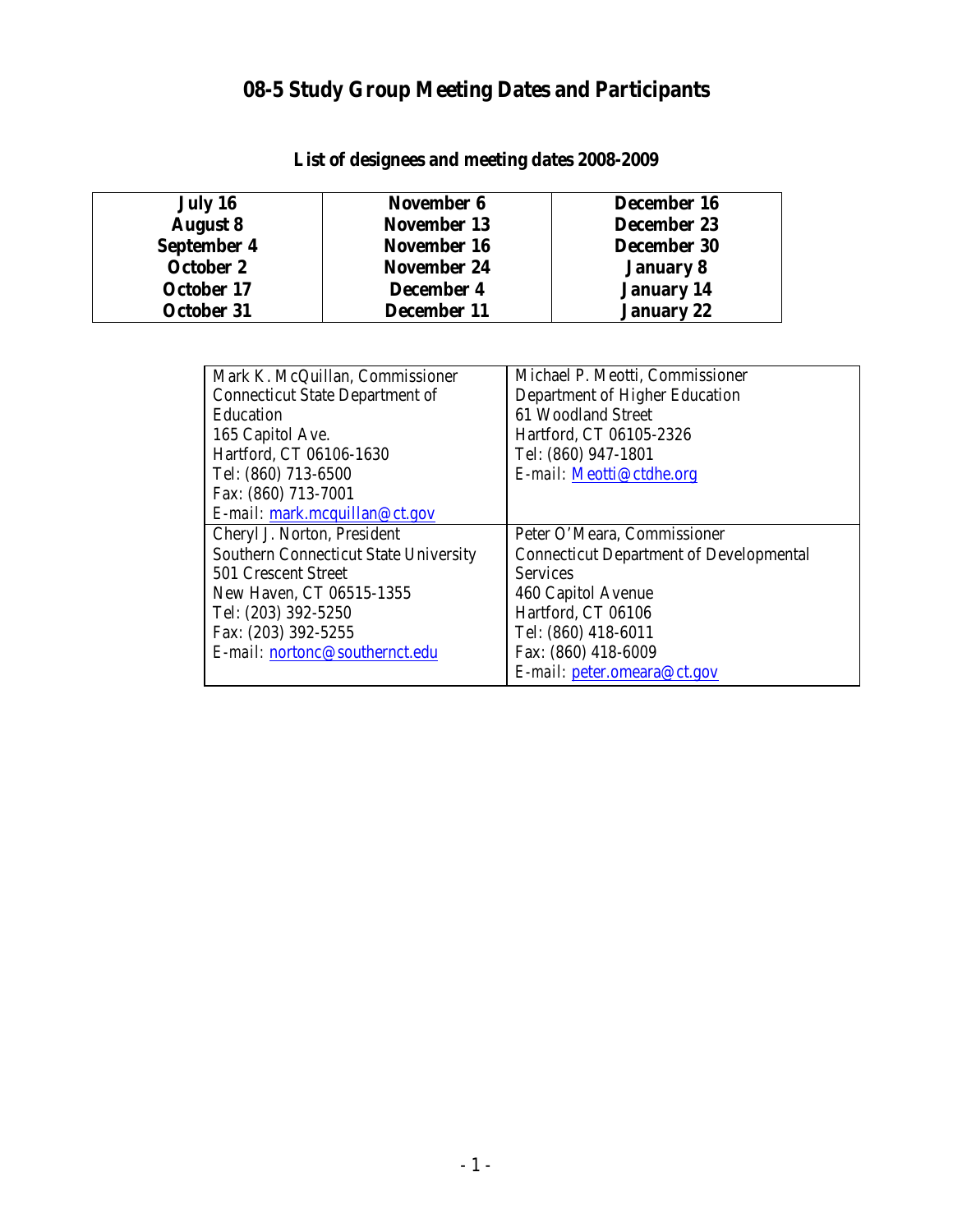# **08-5 Study Group Meeting Dates and Participants**

| July 16         | November 6         | December 16       |
|-----------------|--------------------|-------------------|
| <b>August 8</b> | November 13        | December 23       |
| September 4     | November 16        | December 30       |
| October 2       | <b>November 24</b> | <b>January 8</b>  |
| October 17      | December 4         | <b>January 14</b> |
| October 31      | December 11        | <b>January 22</b> |

**List of designees and meeting dates 2008-2009**

| Mark K. McQuillan, Commissioner        | Michael P. Meotti, Commissioner                |
|----------------------------------------|------------------------------------------------|
| <b>Connecticut State Department of</b> | Department of Higher Education                 |
| Education                              | 61 Woodland Street                             |
| 165 Capitol Ave.                       | Hartford, CT 06105-2326                        |
| Hartford, CT 06106-1630                | Tel: (860) 947-1801                            |
| Tel: (860) 713-6500                    | E-mail: Meotti@ctdhe.org                       |
| Fax: (860) 713-7001                    |                                                |
| $E$ -mail: mark.mcquillan@ct.gov       |                                                |
| Cheryl J. Norton, President            | Peter O'Meara, Commissioner                    |
| Southern Connecticut State University  | <b>Connecticut Department of Developmental</b> |
| 501 Crescent Street                    | <b>Services</b>                                |
| New Haven, CT 06515-1355               | 460 Capitol Avenue                             |
| Tel: (203) 392-5250                    | Hartford, CT 06106                             |
| Fax: (203) 392-5255                    | Tel: (860) 418-6011                            |
| E-mail: nortonc@southernct.edu         | Fax: (860) 418-6009                            |
|                                        | E-mail: peter.omeara@ct.gov                    |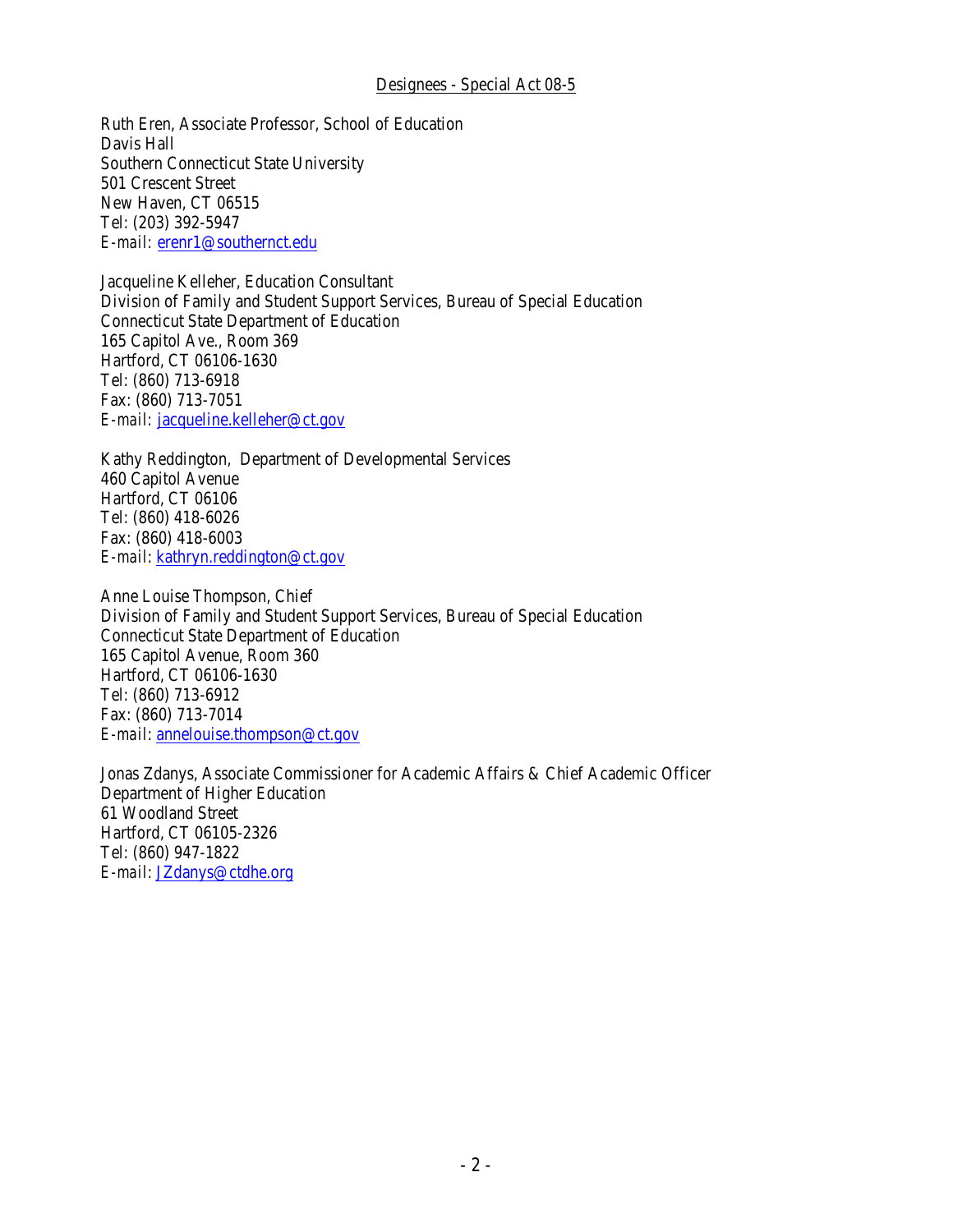#### Designees - Special Act 08-5

Ruth Eren, Associate Professor, School of Education Davis Hall Southern Connecticut State University 501 Crescent Street New Haven, CT 06515 Tel: (203) 392-5947 *E-mail:* erenr1@southernct.edu

Jacqueline Kelleher, Education Consultant Division of Family and Student Support Services, Bureau of Special Education Connecticut State Department of Education 165 Capitol Ave., Room 369 Hartford, CT 06106-1630 Tel: (860) 713-6918 Fax: (860) 713-7051 *E-mail:* jacqueline.kelleher@ct.gov

Kathy Reddington, Department of Developmental Services 460 Capitol Avenue Hartford, CT 06106 Tel: (860) 418-6026 Fax: (860) 418-6003 *E-mail*: kathryn.reddington@ct.gov

Anne Louise Thompson, Chief Division of Family and Student Support Services, Bureau of Special Education Connecticut State Department of Education 165 Capitol Avenue, Room 360 Hartford, CT 06106-1630 Tel: (860) 713-6912 Fax: (860) 713-7014 *E-mail*: annelouise.thompson@ct.gov

*E-mail*: [JZdanys@ctdhe.org](mailto:JZdanys@ctdhe.org)Jonas Zdanys, Associate Commissioner for Academic Affairs & Chief Academic Officer Department of Higher Education 61 Woodland Street Hartford, CT 06105-2326 Tel: (860) 947-1822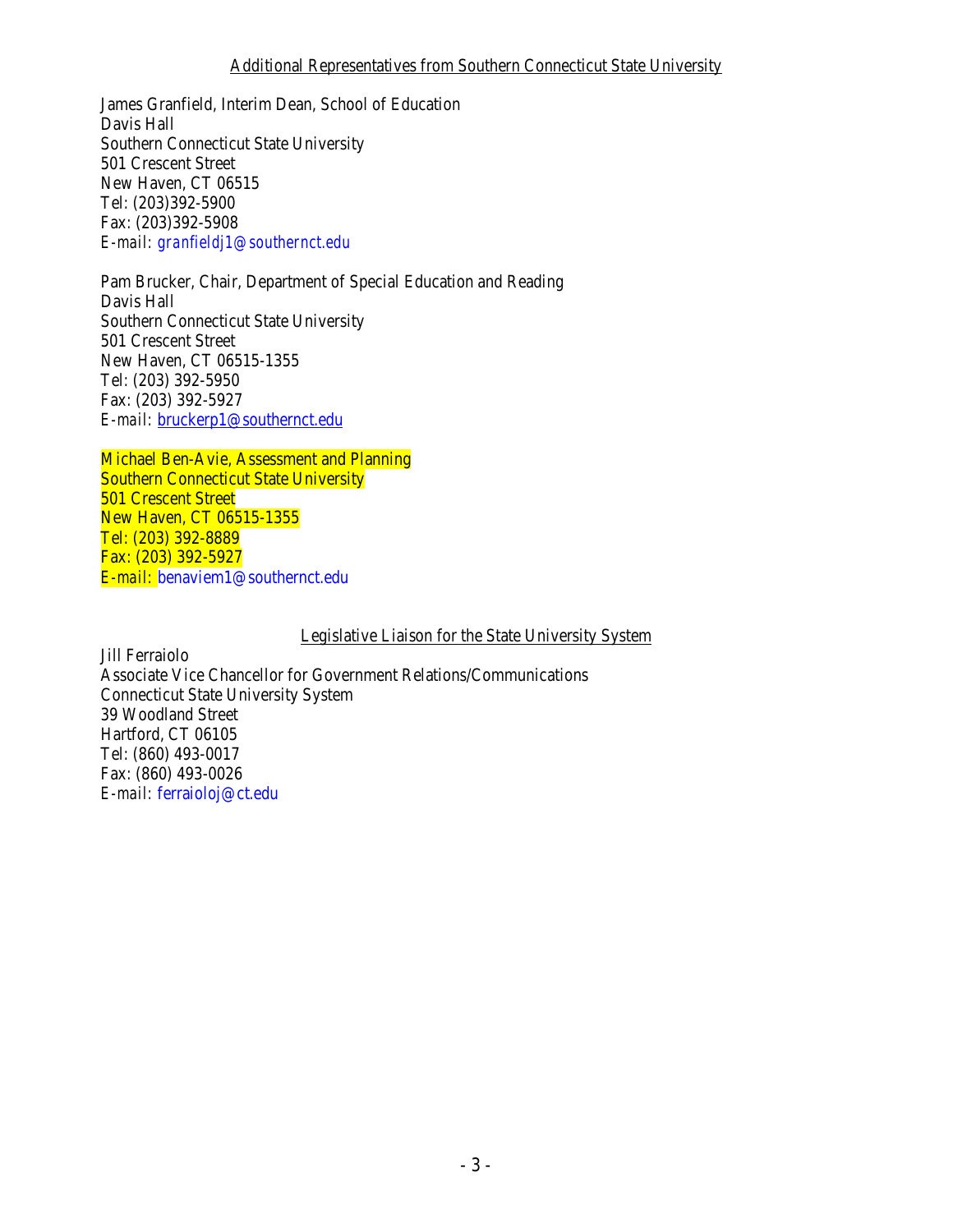### A dditional Representatives from Southern Connecticut State University

James Granfield, Interim Dean, School of Education Davis Hall Southern Connecticut State University 501 Crescent Street New Haven, CT 06515 Tel: (203)392-5900 Fax: (203)392-5908 *E-mail: granfieldj1@southernct.edu* 

*E-mail:*  [bruckerp1@southernct.edu](mailto:bruckerp1@southernct.edu) Pam Brucker, Chair, Department of Special Education and Reading Davis Hall Southern Connecticut State University 501 Crescent Street New Haven, CT 06515-1355 Tel: (203) 392-5950 Fax: (203) 392-5927

Michael Ben-Avie, Assessment and Planning Southern Connecticut State University 501 Crescent Street New Haven, CT 06515-1355 Tel: (203) 392-8889 Fax: (203) 392-5927 *E-mail:* benaviem1@southernct.edu

Legislative Liaison for the State University System

Jill Ferraiolo Associate Vice Chancellor for Government Relations/Communications Connecticut State University System 39 Woodland Street Hartford, CT 06105 Tel: (860) 493-0017 Fax: (860) 493-0026 *E-mail:* ferraioloj@ct.edu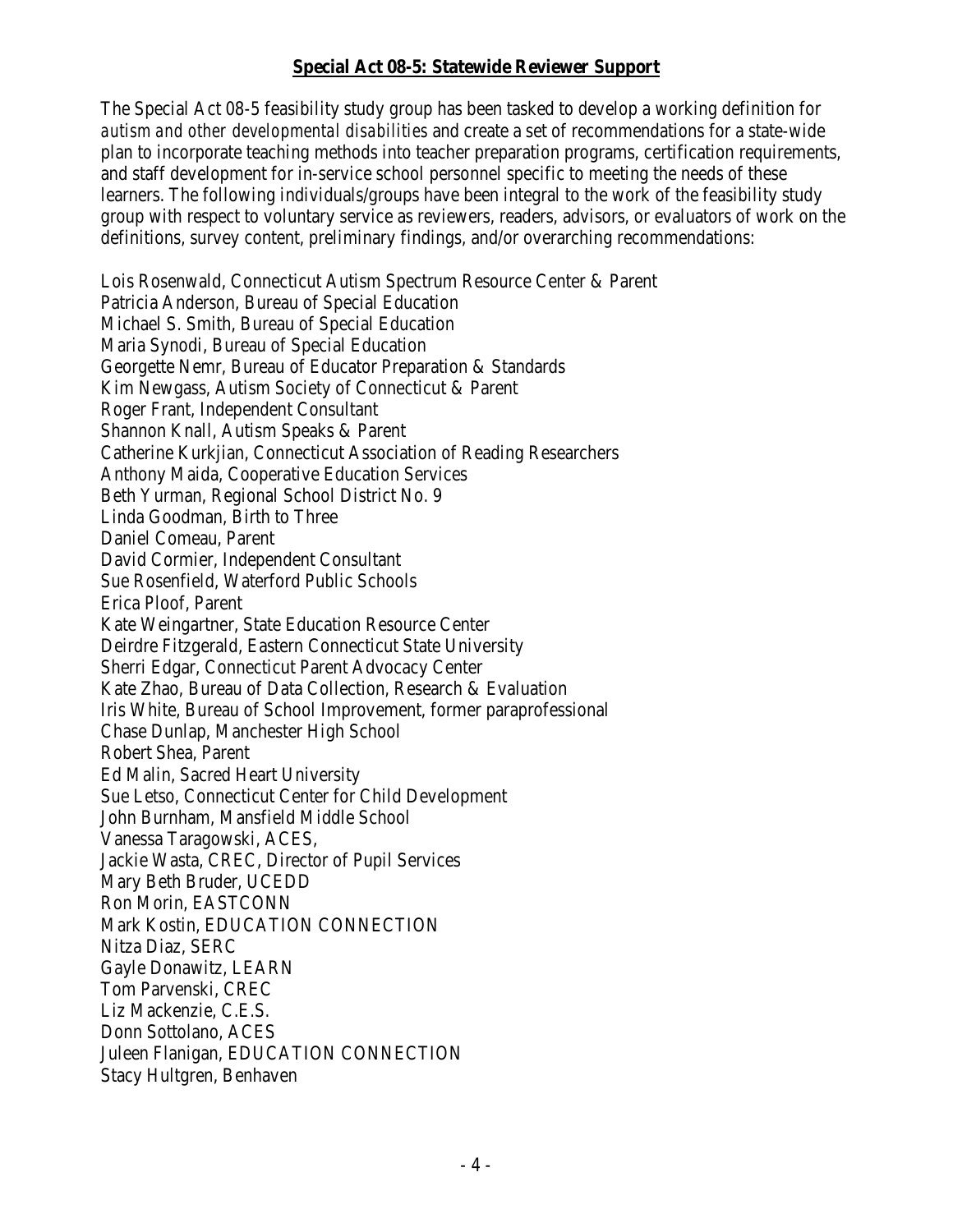## **Special Act 08-5: Statewide Reviewer Support**

The Special Act 08-5 feasibility study group has been tasked to develop a working definition for *autism and other developmental disabilities* and create a set of recommendations for a state-wide plan to incorporate teaching methods into teacher preparation programs, certification requirements, and staff development for in-service school personnel specific to meeting the needs of these learners. The following individuals/groups have been integral to the work of the feasibility study group with respect to voluntary service as reviewers, readers, advisors, or evaluators of work on the definitions, survey content, preliminary findings, and/or overarching recommendations:

Lois Rosenwald, Connecticut Autism Spectrum Resource Center & Parent Patricia Anderson, Bureau of Special Education Michael S. Smith, Bureau of Special Education Maria Synodi, Bureau of Special Education Georgette Nemr, Bureau of Educator Preparation & Standards Kim Newgass, Autism Society of Connecticut & Parent Roger Frant, Independent Consultant Shannon Knall, Autism Speaks & Parent Catherine Kurkjian, Connecticut Association of Reading Researchers Anthony Maida, Cooperative Education Services Beth Yurman, Regional School District No. 9 Linda Goodman, Birth to Three Daniel Comeau, Parent David Cormier, Independent Consultant Sue Rosenfield, Waterford Public Schools Erica Ploof, Parent Kate Weingartner, State Education Resource Center Deirdre Fitzgerald, Eastern Connecticut State University Sherri Edgar, Connecticut Parent Advocacy Center Kate Zhao, Bureau of Data Collection, Research & Evaluation Iris White, Bureau of School Improvement, former paraprofessional Chase Dunlap, Manchester High School Robert Shea, Parent Ed Malin, Sacred Heart University Sue Letso, Connecticut Center for Child Development John Burnham, Mansfield Middle School Vanessa Taragowski, ACES, Jackie Wasta, CREC, Director of Pupil Services Mary Beth Bruder, UCEDD Ron Morin, EASTCONN Mark Kostin, EDUCATION CONNECTION Nitza Diaz, SERC Gayle Donawitz, LEARN Tom Parvenski, CREC Liz Mackenzie, C.E.S. Donn Sottolano, ACES Juleen Flanigan, EDUCATION CONNECTION Stacy Hultgren, Benhaven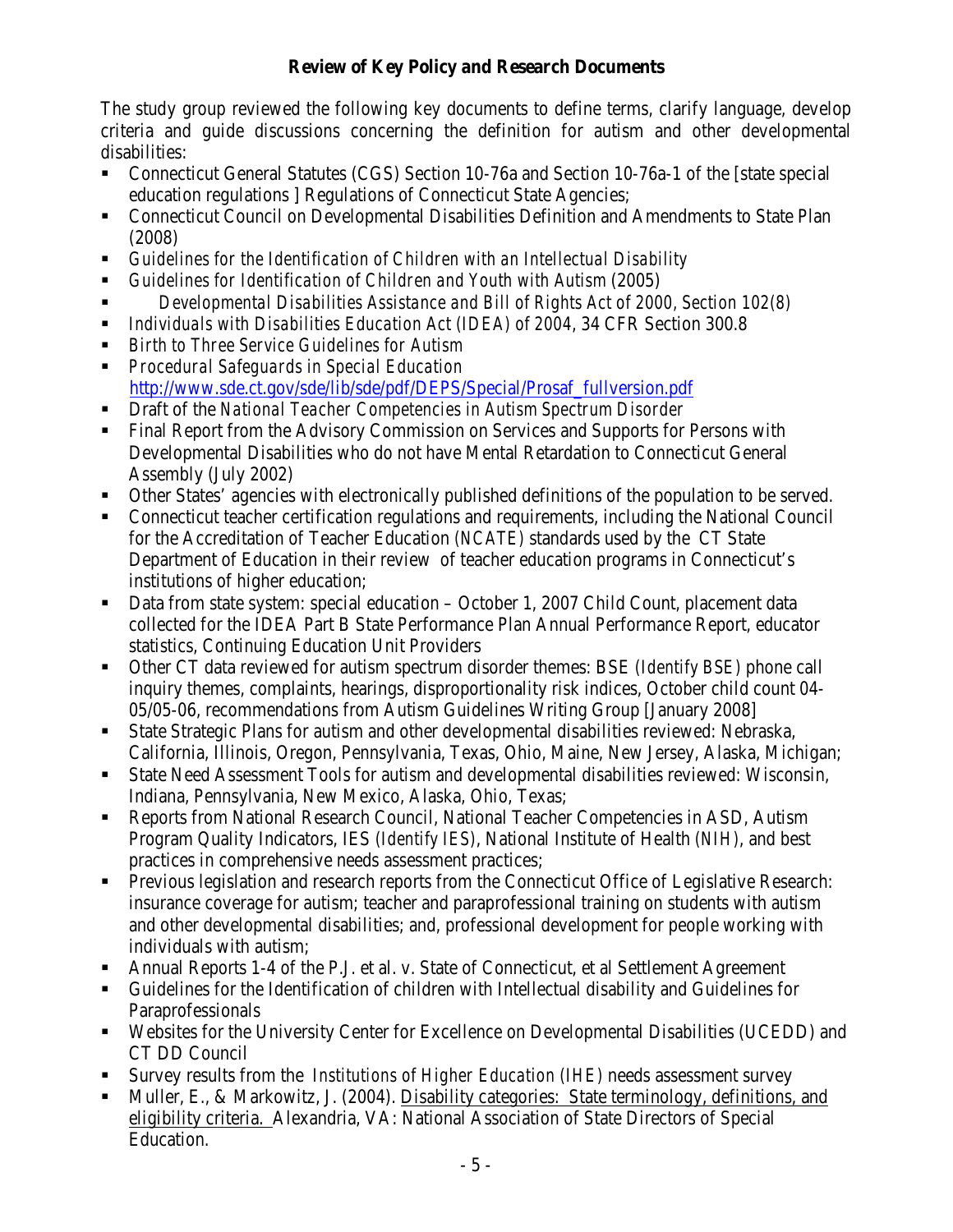## **Review of Key Policy and Research Documents**

The study group reviewed the following key documents to define terms, clarify language, develop criteria and guide discussions concerning the definition for autism and other developmental disabilities:

- Connecticut General Statutes (CGS) Section 10-76a and Section 10-76a-1 of the [state special education regulations ] Regulations of Connecticut State Agencies;
- **Connecticut Council on Developmental Disabilities Definition and Amendments to State Plan** (2008)
- *Guidelines for the Identification of Children with an Intellectual Disability*
- *Guidelines for Identification of Children and Youth with Autism* (2005)
- *Developmental Disabilities Assistance and Bill of Rights Act of 2000, Section 102(8)*
- *Individuals with Disabilities Education Act (IDEA) of 2004*, 34 CFR Section 300.8
- *Birth to Three Service Guidelines for Autism*
- *Procedural Safeguards in Special Education*  [http://www.sde.ct.gov/sde/lib/sde/pdf/DEPS/Special/Prosaf\\_fullversion.pdf](http://www.sde.ct.gov/sde/lib/sde/pdf/DEPS/Special/Prosaf_fullversion.pdf)
- Draft of the *National Teacher Competencies in Autism Spectrum Disorder*
- **Final Report from the Advisory Commission on Services and Supports for Persons with** Developmental Disabilities who do not have Mental Retardation to Connecticut General Assembly (July 2002)
- Other States' agencies with electronically published definitions of the population to be served.
- Connecticut teacher certification regulations and requirements, including the National Council for the Accreditation of Teacher Education *(NCATE)* standards used by the CT State Department of Education in their review of teacher education programs in Connecticut's institutions of higher education;
- Data from state system: special education October 1, 2007 Child Count, placement data collected for the IDEA Part B State Performance Plan Annual Performance Report, educator statistics, Continuing Education Unit Providers
- Other CT data reviewed for autism spectrum disorder themes: BSE *(Identify BSE)* phone call inquiry themes, complaints, hearings, disproportionality risk indices, October child count 04- 05/05-06, recommendations from Autism Guidelines Writing Group [January 2008]
- State Strategic Plans for autism and other developmental disabilities reviewed: Nebraska, California, Illinois, Oregon, Pennsylvania, Texas, Ohio, Maine, New Jersey, Alaska, Michigan;
- State Need Assessment Tools for autism and developmental disabilities reviewed: Wisconsin, Indiana, Pennsylvania, New Mexico, Alaska, Ohio, Texas;
- Reports from National Research Council, National Teacher Competencies in ASD, Autism Program Quality Indicators, IES *(Identify IES)*, National Institute of Health *(NIH)*, and best practices in comprehensive needs assessment practices;
- Previous legislation and research reports from the Connecticut Office of Legislative Research: insurance coverage for autism; teacher and paraprofessional training on students with autism and other developmental disabilities; and, professional development for people working with individuals with autism;
- Annual Reports 1-4 of the P.J. et al. v. State of Connecticut, et al Settlement Agreement
- Guidelines for the Identification of children with Intellectual disability and Guidelines for Paraprofessionals
- Websites for the University Center for Excellence on Developmental Disabilities (UCEDD) and CT DD Council
- Survey results from the *Institutions of Higher Education (IHE)* needs assessment survey
- Muller, E., & Markowitz, J. (2004). Disability categories: State terminology, definitions, and eligibility criteria. Alexandria, VA: National Association of State Directors of Special Education.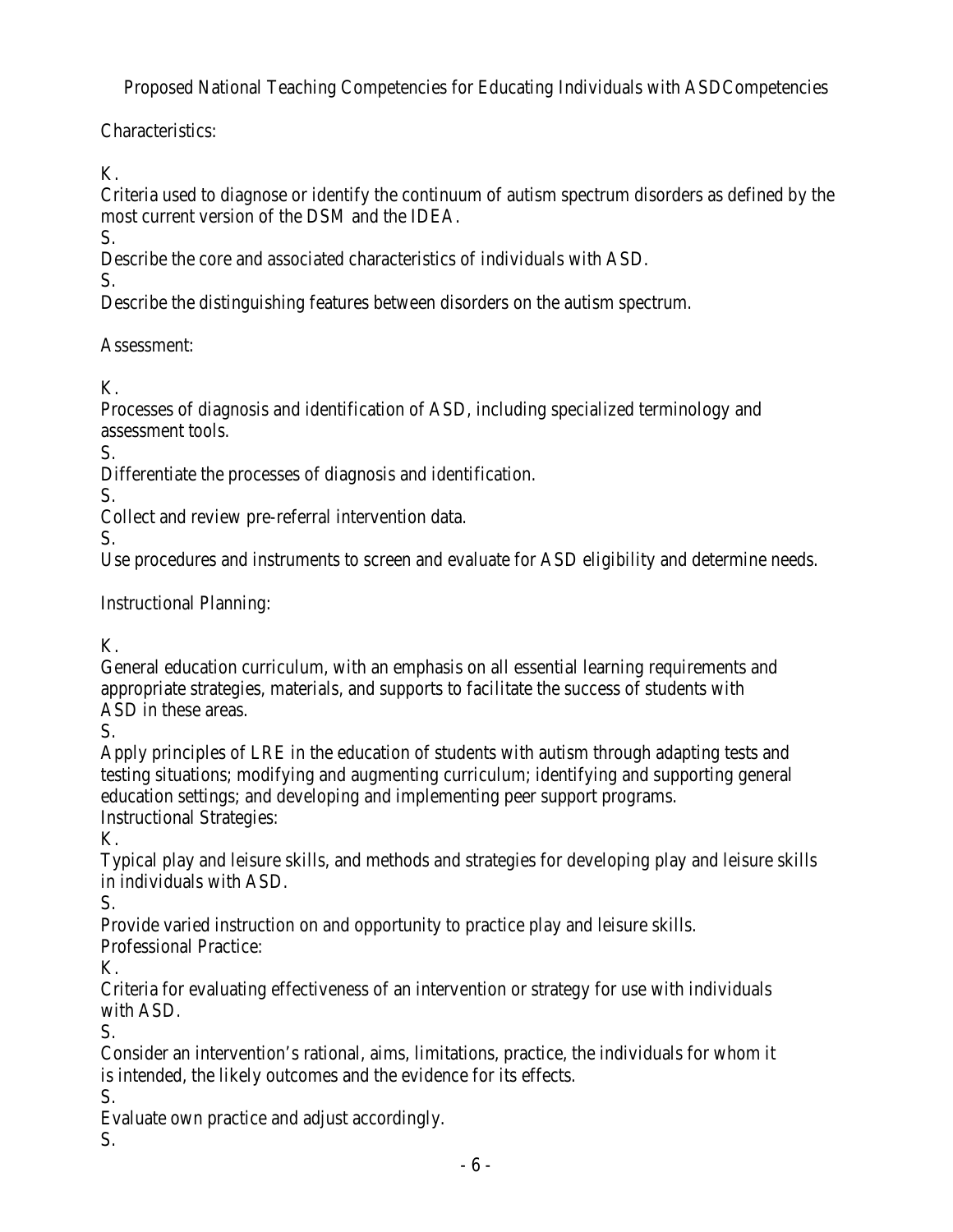Proposed National Teaching Competencies for Educating Individuals with ASDCompetencies

Characteristics:

K.

Criteria used to diagnose or identify the continuum of autism spectrum disorders as defined by the most current version of the DSM and the IDEA.

S.

Describe the core and associated characteristics of individuals with ASD.

S.

Describe the distinguishing features between disorders on the autism spectrum.

Assessment:

K.

Processes of diagnosis and identification of ASD, including specialized terminology and assessment tools.

S.

Differentiate the processes of diagnosis and identification.

S.

Collect and review pre-referral intervention data.

S.

Use procedures and instruments to screen and evaluate for ASD eligibility and determine needs.

Instructional Planning:

K.

General education curriculum, with an emphasis on all essential learning requirements and appropriate strategies, materials, and supports to facilitate the success of students with ASD in these areas.

S.

Apply principles of LRE in the education of students with autism through adapting tests and testing situations; modifying and augmenting curriculum; identifying and supporting general education settings; and developing and implementing peer support programs. Instructional Strategies:

K.

Typical play and leisure skills, and methods and strategies for developing play and leisure skills in individuals with ASD.

S.

Provide varied instruction on and opportunity to practice play and leisure skills.

Professional Practice:

K.

Criteria for evaluating effectiveness of an intervention or strategy for use with individuals with ASD.

S.

Consider an intervention's rational, aims, limitations, practice, the individuals for whom it is intended, the likely outcomes and the evidence for its effects.

S.

Evaluate own practice and adjust accordingly.

S.